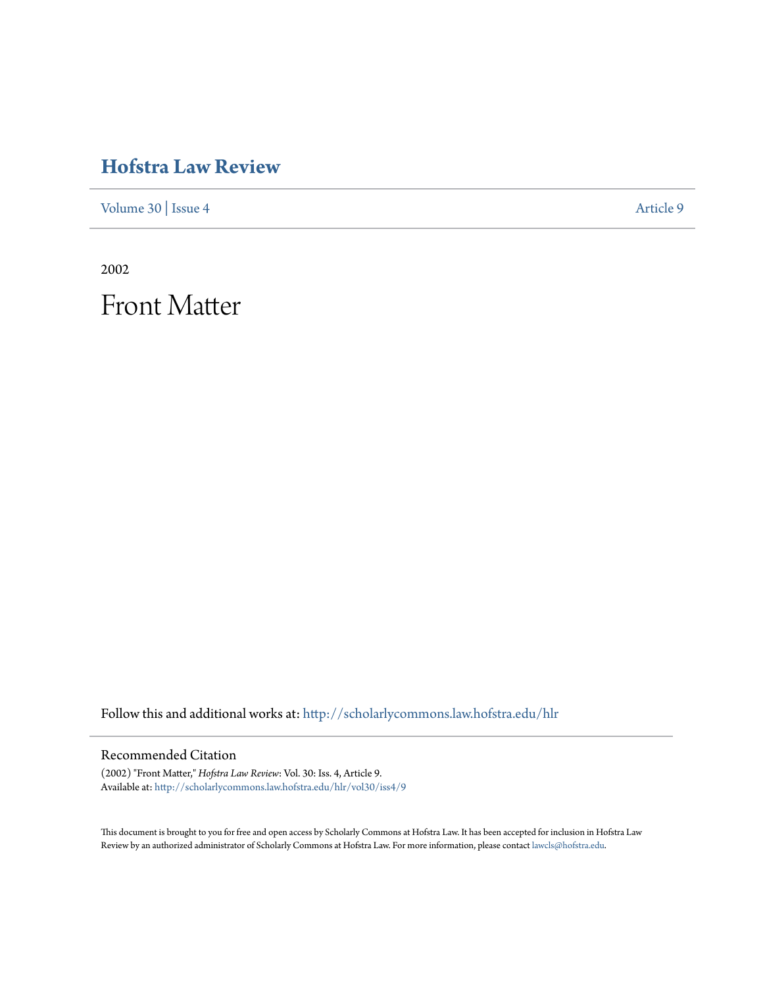# **[Hofstra Law Review](http://scholarlycommons.law.hofstra.edu/hlr?utm_source=scholarlycommons.law.hofstra.edu%2Fhlr%2Fvol30%2Fiss4%2F9&utm_medium=PDF&utm_campaign=PDFCoverPages)**

[Volume 30](http://scholarlycommons.law.hofstra.edu/hlr/vol30?utm_source=scholarlycommons.law.hofstra.edu%2Fhlr%2Fvol30%2Fiss4%2F9&utm_medium=PDF&utm_campaign=PDFCoverPages) | [Issue 4](http://scholarlycommons.law.hofstra.edu/hlr/vol30/iss4?utm_source=scholarlycommons.law.hofstra.edu%2Fhlr%2Fvol30%2Fiss4%2F9&utm_medium=PDF&utm_campaign=PDFCoverPages) [Article 9](http://scholarlycommons.law.hofstra.edu/hlr/vol30/iss4/9?utm_source=scholarlycommons.law.hofstra.edu%2Fhlr%2Fvol30%2Fiss4%2F9&utm_medium=PDF&utm_campaign=PDFCoverPages)

2002

Front Matter

Follow this and additional works at: [http://scholarlycommons.law.hofstra.edu/hlr](http://scholarlycommons.law.hofstra.edu/hlr?utm_source=scholarlycommons.law.hofstra.edu%2Fhlr%2Fvol30%2Fiss4%2F9&utm_medium=PDF&utm_campaign=PDFCoverPages)

### Recommended Citation

(2002) "Front Matter," *Hofstra Law Review*: Vol. 30: Iss. 4, Article 9. Available at: [http://scholarlycommons.law.hofstra.edu/hlr/vol30/iss4/9](http://scholarlycommons.law.hofstra.edu/hlr/vol30/iss4/9?utm_source=scholarlycommons.law.hofstra.edu%2Fhlr%2Fvol30%2Fiss4%2F9&utm_medium=PDF&utm_campaign=PDFCoverPages)

This document is brought to you for free and open access by Scholarly Commons at Hofstra Law. It has been accepted for inclusion in Hofstra Law Review by an authorized administrator of Scholarly Commons at Hofstra Law. For more information, please contact [lawcls@hofstra.edu](mailto:lawcls@hofstra.edu).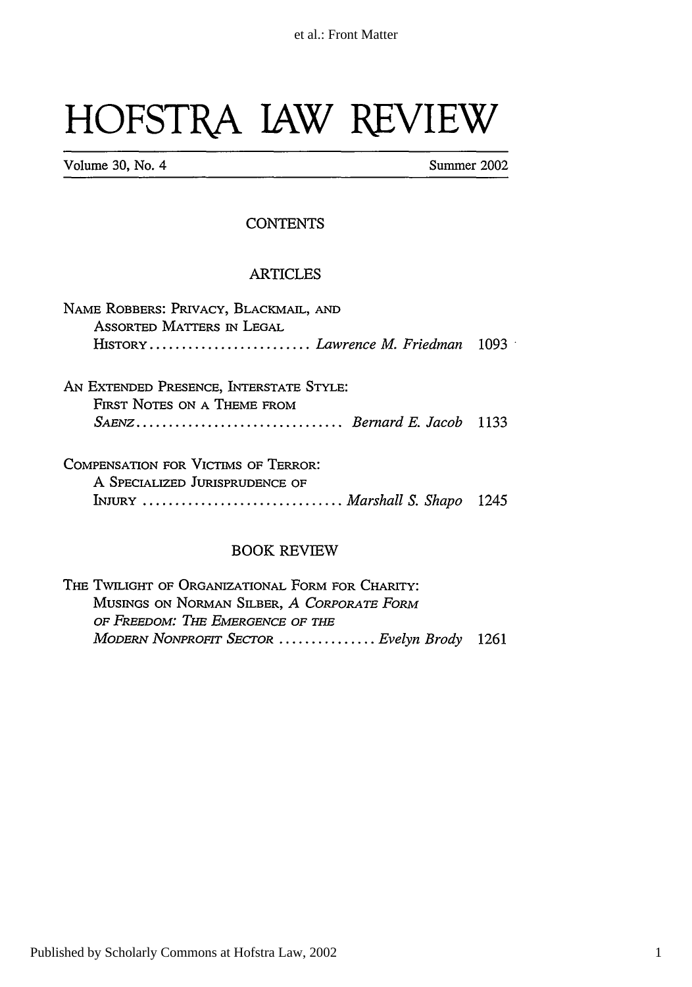# HOFSTRA JAW REVIEW

**Volume 30, No. 4** Summer 2002

#### **CONTENTS**

#### ARTICLES

| NAME ROBBERS: PRIVACY, BLACKMAIL, AND<br>ASSORTED MATTERS IN LEGAL     |  |
|------------------------------------------------------------------------|--|
|                                                                        |  |
| AN EXTENDED PRESENCE, INTERSTATE STYLE:<br>FIRST NOTES ON A THEME FROM |  |
| SAENZ Bernard E. Jacob 1133                                            |  |
| COMPENSATION FOR VICTORS OF TERROR!                                    |  |

| COMPENSATION FOR VICTIMS OF TERROR: |  |
|-------------------------------------|--|
| A SPECIALIZED JURISPRUDENCE OF      |  |
| INJURY  Marshall S. Shapo 1245      |  |

#### BOOK REVIEW

THE TWILIGHT OF ORGANIZATIONAL FORM FOR CHARITY: MUSINGS ON NORMAN SILBER, A CORPORATE FORM *OF FREEDOM: TiE EMERGENCE OF THE MODERN NoNPRoFrr SECTOR ............... Evelyn Brody* **<sup>1261</sup>**